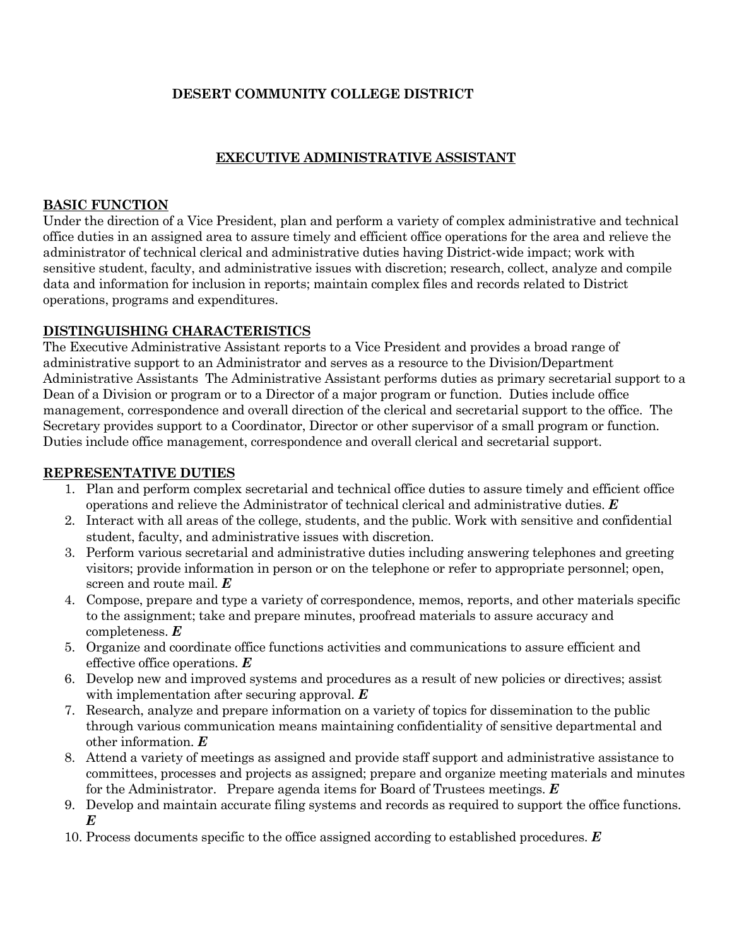# **DESERT COMMUNITY COLLEGE DISTRICT**

### **EXECUTIVE ADMINISTRATIVE ASSISTANT**

#### **BASIC FUNCTION**

Under the direction of a Vice President, plan and perform a variety of complex administrative and technical office duties in an assigned area to assure timely and efficient office operations for the area and relieve the administrator of technical clerical and administrative duties having District-wide impact; work with sensitive student, faculty, and administrative issues with discretion; research, collect, analyze and compile data and information for inclusion in reports; maintain complex files and records related to District operations, programs and expenditures.

### **DISTINGUISHING CHARACTERISTICS**

The Executive Administrative Assistant reports to a Vice President and provides a broad range of administrative support to an Administrator and serves as a resource to the Division/Department Administrative Assistants The Administrative Assistant performs duties as primary secretarial support to a Dean of a Division or program or to a Director of a major program or function. Duties include office management, correspondence and overall direction of the clerical and secretarial support to the office. The Secretary provides support to a Coordinator, Director or other supervisor of a small program or function. Duties include office management, correspondence and overall clerical and secretarial support.

### **REPRESENTATIVE DUTIES**

- 1. Plan and perform complex secretarial and technical office duties to assure timely and efficient office operations and relieve the Administrator of technical clerical and administrative duties. *E*
- 2. Interact with all areas of the college, students, and the public. Work with sensitive and confidential student, faculty, and administrative issues with discretion.
- 3. Perform various secretarial and administrative duties including answering telephones and greeting visitors; provide information in person or on the telephone or refer to appropriate personnel; open, screen and route mail. *E*
- 4. Compose, prepare and type a variety of correspondence, memos, reports, and other materials specific to the assignment; take and prepare minutes, proofread materials to assure accuracy and completeness. *E*
- 5. Organize and coordinate office functions activities and communications to assure efficient and effective office operations. *E*
- 6. Develop new and improved systems and procedures as a result of new policies or directives; assist with implementation after securing approval. *E*
- 7. Research, analyze and prepare information on a variety of topics for dissemination to the public through various communication means maintaining confidentiality of sensitive departmental and other information. *E*
- 8. Attend a variety of meetings as assigned and provide staff support and administrative assistance to committees, processes and projects as assigned; prepare and organize meeting materials and minutes for the Administrator. Prepare agenda items for Board of Trustees meetings. *E*
- 9. Develop and maintain accurate filing systems and records as required to support the office functions. *E*
- 10. Process documents specific to the office assigned according to established procedures. *E*